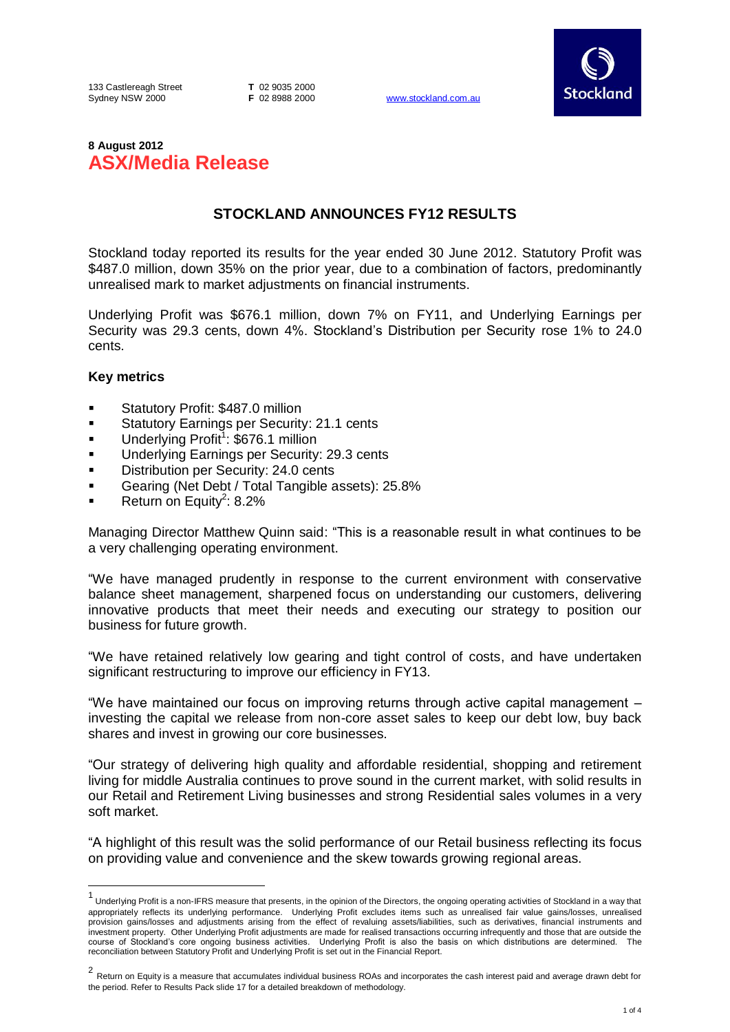133 Castlereagh Street Sydney NSW 2000

**T** 02 9035 2000

www.stockland.com.au



# **8 August 2012 ASX/Media Release**

# **STOCKLAND ANNOUNCES FY12 RESULTS**

Stockland today reported its results for the year ended 30 June 2012. Statutory Profit was \$487.0 million, down 35% on the prior year, due to a combination of factors, predominantly unrealised mark to market adjustments on financial instruments.

Underlying Profit was \$676.1 million, down 7% on FY11, and Underlying Earnings per Security was 29.3 cents, down 4%. Stockland's Distribution per Security rose 1% to 24.0 cents.

## **Key metrics**

- Statutory Profit: \$487.0 million
- Statutory Earnings per Security: 21.1 cents
- Underlying Profit<sup>1</sup>: \$676.1 million
- Underlying Earnings per Security: 29.3 cents
- Distribution per Security: 24.0 cents
- Gearing (Net Debt / Total Tangible assets): 25.8%
- **Return on Equity<sup>2</sup>: 8.2%**

Managing Director Matthew Quinn said: "This is a reasonable result in what continues to be a very challenging operating environment.

"We have managed prudently in response to the current environment with conservative balance sheet management, sharpened focus on understanding our customers, delivering innovative products that meet their needs and executing our strategy to position our business for future growth.

"We have retained relatively low gearing and tight control of costs, and have undertaken significant restructuring to improve our efficiency in FY13.

"We have maintained our focus on improving returns through active capital management – investing the capital we release from non-core asset sales to keep our debt low, buy back shares and invest in growing our core businesses.

"Our strategy of delivering high quality and affordable residential, shopping and retirement living for middle Australia continues to prove sound in the current market, with solid results in our Retail and Retirement Living businesses and strong Residential sales volumes in a very soft market.

"A highlight of this result was the solid performance of our Retail business reflecting its focus on providing value and convenience and the skew towards growing regional areas.

 1 Underlying Profit is a non-IFRS measure that presents, in the opinion of the Directors, the ongoing operating activities of Stockland in a way that appropriately reflects its underlying performance. Underlying Profit excludes items such as unrealised fair value gains/losses, unrealised provision gains/losses and adjustments arising from the effect of revaluing assets/liabilities, such as derivatives, financial instruments and investment property. Other Underlying Profit adjustments are made for realised transactions occurring infrequently and those that are outside the<br>course of Stockland's core ongoing business activities. Underlying Profit is reconciliation between Statutory Profit and Underlying Profit is set out in the Financial Report.

<sup>2</sup> Return on Equity is a measure that accumulates individual business ROAs and incorporates the cash interest paid and average drawn debt for the period. Refer to Results Pack slide 17 for a detailed breakdown of methodology.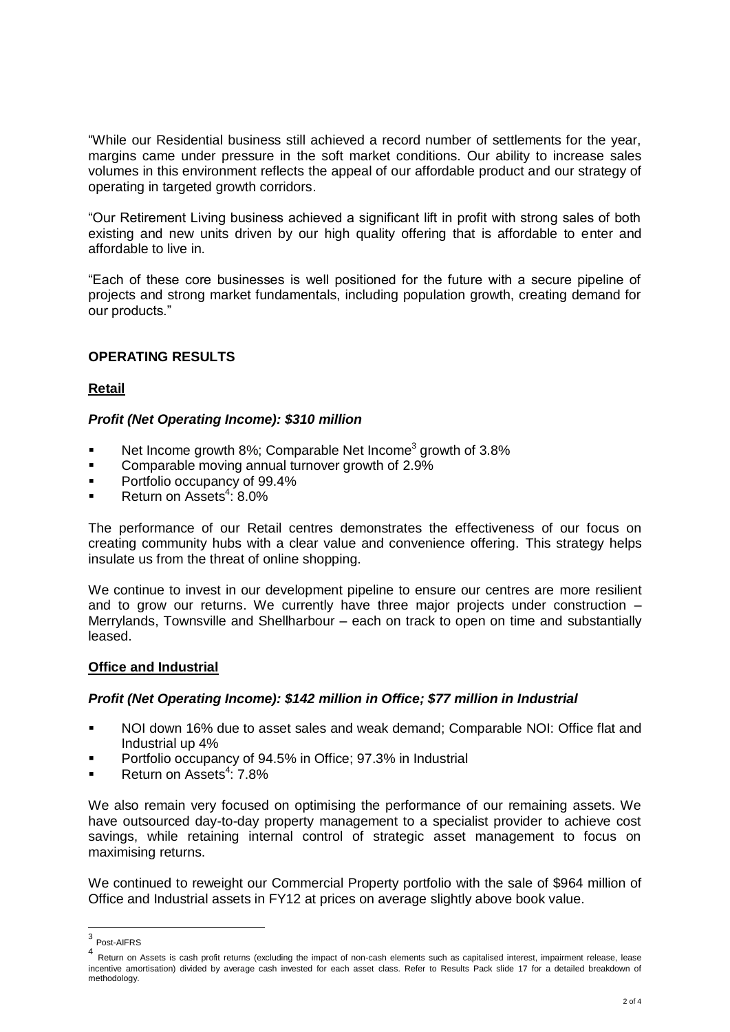"While our Residential business still achieved a record number of settlements for the year, margins came under pressure in the soft market conditions. Our ability to increase sales volumes in this environment reflects the appeal of our affordable product and our strategy of operating in targeted growth corridors.

"Our Retirement Living business achieved a significant lift in profit with strong sales of both existing and new units driven by our high quality offering that is affordable to enter and affordable to live in.

"Each of these core businesses is well positioned for the future with a secure pipeline of projects and strong market fundamentals, including population growth, creating demand for our products."

# **OPERATING RESULTS**

# **Retail**

## *Profit (Net Operating Income): \$310 million*

- Net Income growth 8%; Comparable Net Income<sup>3</sup> growth of 3.8%
- **Comparable moving annual turnover growth of 2.9%**
- Portfolio occupancy of 99.4%
- Return on Assets<sup>4</sup>: 8.0%

The performance of our Retail centres demonstrates the effectiveness of our focus on creating community hubs with a clear value and convenience offering. This strategy helps insulate us from the threat of online shopping.

We continue to invest in our development pipeline to ensure our centres are more resilient and to grow our returns. We currently have three major projects under construction – Merrylands, Townsville and Shellharbour – each on track to open on time and substantially leased.

## **Office and Industrial**

#### *Profit (Net Operating Income): \$142 million in Office; \$77 million in Industrial*

- NOI down 16% due to asset sales and weak demand; Comparable NOI: Office flat and Industrial up 4%
- Portfolio occupancy of 94.5% in Office; 97.3% in Industrial
- Return on Assets<sup>4</sup>: 7.8%

We also remain very focused on optimising the performance of our remaining assets. We have outsourced day-to-day property management to a specialist provider to achieve cost savings, while retaining internal control of strategic asset management to focus on maximising returns.

We continued to reweight our Commercial Property portfolio with the sale of \$964 million of Office and Industrial assets in FY12 at prices on average slightly above book value.

 3 Post-AIFRS

<sup>4</sup> Return on Assets is cash profit returns (excluding the impact of non-cash elements such as capitalised interest, impairment release, lease incentive amortisation) divided by average cash invested for each asset class. Refer to Results Pack slide 17 for a detailed breakdown of methodology.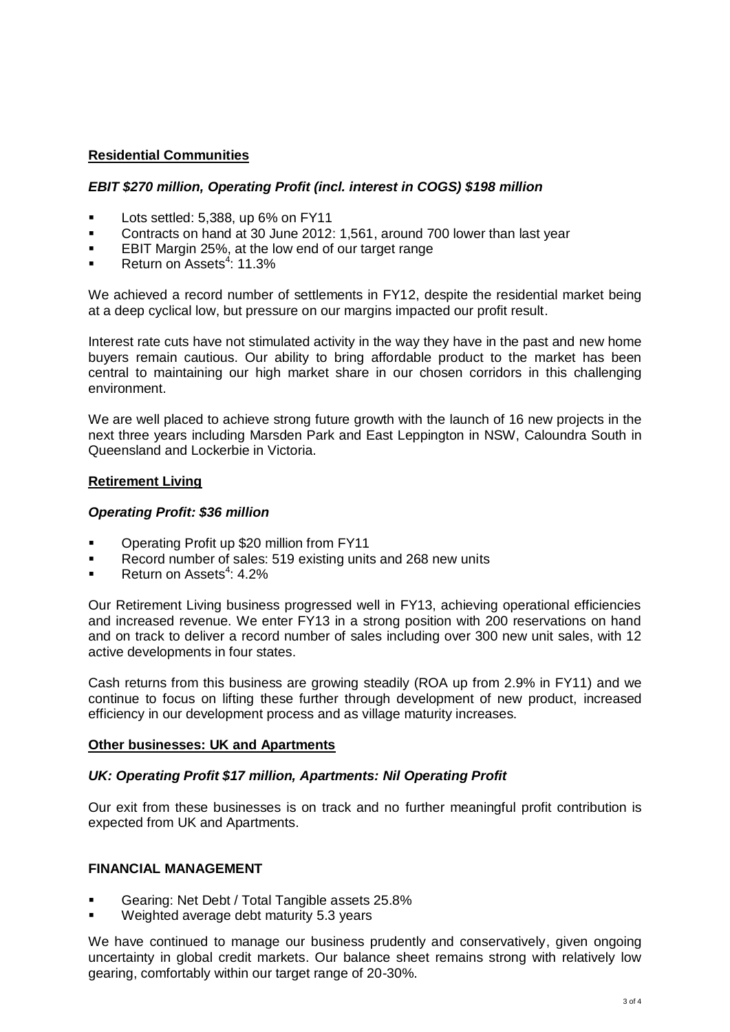# **Residential Communities**

#### *EBIT \$270 million, Operating Profit (incl. interest in COGS) \$198 million*

- Lots settled: 5,388, up 6% on FY11
- Contracts on hand at 30 June 2012: 1,561, around 700 lower than last year
- EBIT Margin 25%, at the low end of our target range
- Return on Assets<sup>4</sup>: 11.3%

We achieved a record number of settlements in FY12, despite the residential market being at a deep cyclical low, but pressure on our margins impacted our profit result.

Interest rate cuts have not stimulated activity in the way they have in the past and new home buyers remain cautious. Our ability to bring affordable product to the market has been central to maintaining our high market share in our chosen corridors in this challenging environment.

We are well placed to achieve strong future growth with the launch of 16 new projects in the next three years including Marsden Park and East Leppington in NSW, Caloundra South in Queensland and Lockerbie in Victoria.

#### **Retirement Living**

#### *Operating Profit: \$36 million*

- Operating Profit up \$20 million from FY11
- Record number of sales: 519 existing units and 268 new units
- Return on Assets<sup>4</sup>: 4.2%

Our Retirement Living business progressed well in FY13, achieving operational efficiencies and increased revenue. We enter FY13 in a strong position with 200 reservations on hand and on track to deliver a record number of sales including over 300 new unit sales, with 12 active developments in four states.

Cash returns from this business are growing steadily (ROA up from 2.9% in FY11) and we continue to focus on lifting these further through development of new product, increased efficiency in our development process and as village maturity increases.

#### **Other businesses: UK and Apartments**

#### *UK: Operating Profit \$17 million, Apartments: Nil Operating Profit*

Our exit from these businesses is on track and no further meaningful profit contribution is expected from UK and Apartments.

## **FINANCIAL MANAGEMENT**

- Gearing: Net Debt / Total Tangible assets 25.8%
- Weighted average debt maturity 5.3 years

We have continued to manage our business prudently and conservatively, given ongoing uncertainty in global credit markets. Our balance sheet remains strong with relatively low gearing, comfortably within our target range of 20-30%.